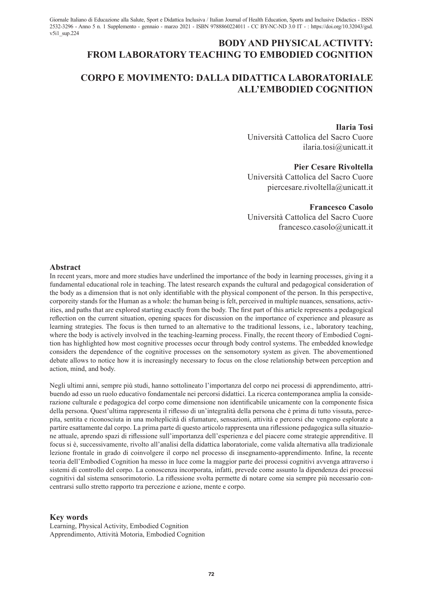# **BODY AND PHYSICAL ACTIVITY: FROM LABORATORY TEACHING TO EMBODIED COGNITION**

# **CORPO E MOVIMENTO: DALLA DIDATTICA LABORATORIALE ALL'EMBODIED COGNITION**

**Ilaria Tosi** Università Cattolica del Sacro Cuore ilaria.tosi@unicatt.it

## **Pier Cesare Rivoltella**

Università Cattolica del Sacro Cuore piercesare.rivoltella@unicatt.it

## **Francesco Casolo** Università Cattolica del Sacro Cuore francesco.casolo@unicatt.it

#### **Abstract**

In recent years, more and more studies have underlined the importance of the body in learning processes, giving it a fundamental educational role in teaching. The latest research expands the cultural and pedagogical consideration of the body as a dimension that is not only identifiable with the physical component of the person. In this perspective, corporeity stands for the Human as a whole: the human being is felt, perceived in multiple nuances, sensations, activities, and paths that are explored starting exactly from the body. The first part of this article represents a pedagogical reflection on the current situation, opening spaces for discussion on the importance of experience and pleasure as learning strategies. The focus is then turned to an alternative to the traditional lessons, i.e., laboratory teaching, where the body is actively involved in the teaching-learning process. Finally, the recent theory of Embodied Cognition has highlighted how most cognitive processes occur through body control systems. The embedded knowledge considers the dependence of the cognitive processes on the sensomotory system as given. The abovementioned debate allows to notice how it is increasingly necessary to focus on the close relationship between perception and action, mind, and body.

Negli ultimi anni, sempre più studi, hanno sottolineato l'importanza del corpo nei processi di apprendimento, attribuendo ad esso un ruolo educativo fondamentale nei percorsi didattici. La ricerca contemporanea amplia la considerazione culturale e pedagogica del corpo come dimensione non identificabile unicamente con la componente fisica della persona. Quest'ultima rappresenta il riflesso di un'integralità della persona che è prima di tutto vissuta, percepita, sentita e riconosciuta in una molteplicità di sfumature, sensazioni, attività e percorsi che vengono esplorate a partire esattamente dal corpo. La prima parte di questo articolo rappresenta una riflessione pedagogica sulla situazione attuale, aprendo spazi di riflessione sull'importanza dell'esperienza e del piacere come strategie apprenditive. Il focus si è, successivamente, rivolto all'analisi della didattica laboratoriale, come valida alternativa alla tradizionale lezione frontale in grado di coinvolgere il corpo nel processo di insegnamento-apprendimento. Infine, la recente teoria dell'Embodied Cognition ha messo in luce come la maggior parte dei processi cognitivi avvenga attraverso i sistemi di controllo del corpo. La conoscenza incorporata, infatti, prevede come assunto la dipendenza dei processi cognitivi dal sistema sensorimotorio. La riflessione svolta permette di notare come sia sempre più necessario concentrarsi sullo stretto rapporto tra percezione e azione, mente e corpo.

### **Key words**

Learning, Physical Activity, Embodied Cognition Apprendimento, Attività Motoria, Embodied Cognition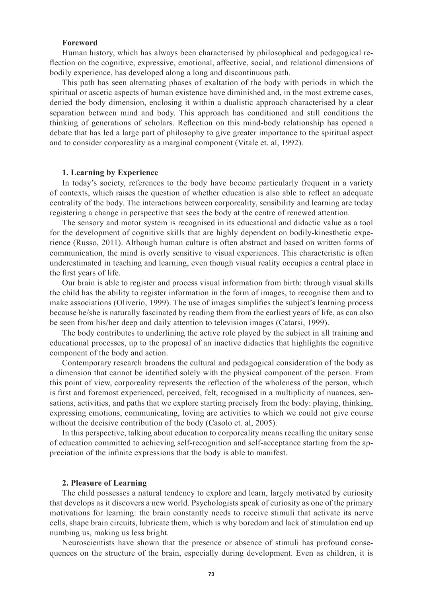## **Foreword**

Human history, which has always been characterised by philosophical and pedagogical reflection on the cognitive, expressive, emotional, affective, social, and relational dimensions of bodily experience, has developed along a long and discontinuous path.

This path has seen alternating phases of exaltation of the body with periods in which the spiritual or ascetic aspects of human existence have diminished and, in the most extreme cases, denied the body dimension, enclosing it within a dualistic approach characterised by a clear separation between mind and body. This approach has conditioned and still conditions the thinking of generations of scholars. Reflection on this mind-body relationship has opened a debate that has led a large part of philosophy to give greater importance to the spiritual aspect and to consider corporeality as a marginal component (Vitale et. al, 1992).

#### **1. Learning by Experience**

In today's society, references to the body have become particularly frequent in a variety of contexts, which raises the question of whether education is also able to reflect an adequate centrality of the body. The interactions between corporeality, sensibility and learning are today registering a change in perspective that sees the body at the centre of renewed attention.

The sensory and motor system is recognised in its educational and didactic value as a tool for the development of cognitive skills that are highly dependent on bodily-kinesthetic experience (Russo, 2011). Although human culture is often abstract and based on written forms of communication, the mind is overly sensitive to visual experiences. This characteristic is often underestimated in teaching and learning, even though visual reality occupies a central place in the first years of life.

Our brain is able to register and process visual information from birth: through visual skills the child has the ability to register information in the form of images, to recognise them and to make associations (Oliverio, 1999). The use of images simplifies the subject's learning process because he/she is naturally fascinated by reading them from the earliest years of life, as can also be seen from his/her deep and daily attention to television images (Catarsi, 1999).

The body contributes to underlining the active role played by the subject in all training and educational processes, up to the proposal of an inactive didactics that highlights the cognitive component of the body and action.

Contemporary research broadens the cultural and pedagogical consideration of the body as a dimension that cannot be identified solely with the physical component of the person. From this point of view, corporeality represents the reflection of the wholeness of the person, which is first and foremost experienced, perceived, felt, recognised in a multiplicity of nuances, sensations, activities, and paths that we explore starting precisely from the body: playing, thinking, expressing emotions, communicating, loving are activities to which we could not give course without the decisive contribution of the body (Casolo et. al, 2005).

In this perspective, talking about education to corporeality means recalling the unitary sense of education committed to achieving self-recognition and self-acceptance starting from the appreciation of the infinite expressions that the body is able to manifest.

#### **2. Pleasure of Learning**

The child possesses a natural tendency to explore and learn, largely motivated by curiosity that develops as it discovers a new world. Psychologists speak of curiosity as one of the primary motivations for learning: the brain constantly needs to receive stimuli that activate its nerve cells, shape brain circuits, lubricate them, which is why boredom and lack of stimulation end up numbing us, making us less bright.

Neuroscientists have shown that the presence or absence of stimuli has profound consequences on the structure of the brain, especially during development. Even as children, it is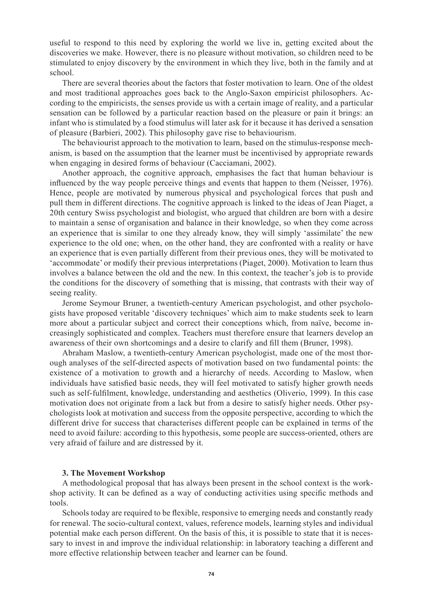useful to respond to this need by exploring the world we live in, getting excited about the discoveries we make. However, there is no pleasure without motivation, so children need to be stimulated to enjoy discovery by the environment in which they live, both in the family and at school.

There are several theories about the factors that foster motivation to learn. One of the oldest and most traditional approaches goes back to the Anglo-Saxon empiricist philosophers. According to the empiricists, the senses provide us with a certain image of reality, and a particular sensation can be followed by a particular reaction based on the pleasure or pain it brings: an infant who is stimulated by a food stimulus will later ask for it because it has derived a sensation of pleasure (Barbieri, 2002). This philosophy gave rise to behaviourism.

The behaviourist approach to the motivation to learn, based on the stimulus-response mechanism, is based on the assumption that the learner must be incentivised by appropriate rewards when engaging in desired forms of behaviour (Cacciamani, 2002).

Another approach, the cognitive approach, emphasises the fact that human behaviour is influenced by the way people perceive things and events that happen to them (Neisser, 1976). Hence, people are motivated by numerous physical and psychological forces that push and pull them in different directions. The cognitive approach is linked to the ideas of Jean Piaget, a 20th century Swiss psychologist and biologist, who argued that children are born with a desire to maintain a sense of organisation and balance in their knowledge, so when they come across an experience that is similar to one they already know, they will simply 'assimilate' the new experience to the old one; when, on the other hand, they are confronted with a reality or have an experience that is even partially different from their previous ones, they will be motivated to 'accommodate' or modify their previous interpretations (Piaget, 2000). Motivation to learn thus involves a balance between the old and the new. In this context, the teacher's job is to provide the conditions for the discovery of something that is missing, that contrasts with their way of seeing reality.

Jerome Seymour Bruner, a twentieth-century American psychologist, and other psychologists have proposed veritable 'discovery techniques' which aim to make students seek to learn more about a particular subject and correct their conceptions which, from naïve, become increasingly sophisticated and complex. Teachers must therefore ensure that learners develop an awareness of their own shortcomings and a desire to clarify and fill them (Bruner, 1998).

Abraham Maslow, a twentieth-century American psychologist, made one of the most thorough analyses of the self-directed aspects of motivation based on two fundamental points: the existence of a motivation to growth and a hierarchy of needs. According to Maslow, when individuals have satisfied basic needs, they will feel motivated to satisfy higher growth needs such as self-fulfilment, knowledge, understanding and aesthetics (Oliverio, 1999). In this case motivation does not originate from a lack but from a desire to satisfy higher needs. Other psychologists look at motivation and success from the opposite perspective, according to which the different drive for success that characterises different people can be explained in terms of the need to avoid failure: according to this hypothesis, some people are success-oriented, others are very afraid of failure and are distressed by it.

### **3. The Movement Workshop**

A methodological proposal that has always been present in the school context is the workshop activity. It can be defined as a way of conducting activities using specific methods and tools.

Schools today are required to be flexible, responsive to emerging needs and constantly ready for renewal. The socio-cultural context, values, reference models, learning styles and individual potential make each person different. On the basis of this, it is possible to state that it is necessary to invest in and improve the individual relationship: in laboratory teaching a different and more effective relationship between teacher and learner can be found.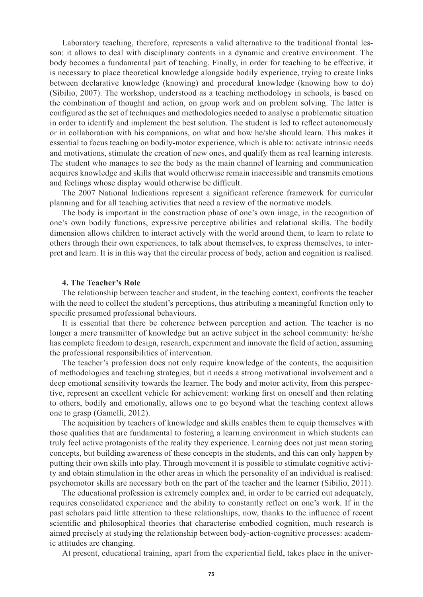Laboratory teaching, therefore, represents a valid alternative to the traditional frontal lesson: it allows to deal with disciplinary contents in a dynamic and creative environment. The body becomes a fundamental part of teaching. Finally, in order for teaching to be effective, it is necessary to place theoretical knowledge alongside bodily experience, trying to create links between declarative knowledge (knowing) and procedural knowledge (knowing how to do) (Sibilio, 2007). The workshop, understood as a teaching methodology in schools, is based on the combination of thought and action, on group work and on problem solving. The latter is configured as the set of techniques and methodologies needed to analyse a problematic situation in order to identify and implement the best solution. The student is led to reflect autonomously or in collaboration with his companions, on what and how he/she should learn. This makes it essential to focus teaching on bodily-motor experience, which is able to: activate intrinsic needs and motivations, stimulate the creation of new ones, and qualify them as real learning interests. The student who manages to see the body as the main channel of learning and communication acquires knowledge and skills that would otherwise remain inaccessible and transmits emotions and feelings whose display would otherwise be difficult.

The 2007 National Indications represent a significant reference framework for curricular planning and for all teaching activities that need a review of the normative models.

The body is important in the construction phase of one's own image, in the recognition of one's own bodily functions, expressive perceptive abilities and relational skills. The bodily dimension allows children to interact actively with the world around them, to learn to relate to others through their own experiences, to talk about themselves, to express themselves, to interpret and learn. It is in this way that the circular process of body, action and cognition is realised.

### **4. The Teacher's Role**

The relationship between teacher and student, in the teaching context, confronts the teacher with the need to collect the student's perceptions, thus attributing a meaningful function only to specific presumed professional behaviours.

It is essential that there be coherence between perception and action. The teacher is no longer a mere transmitter of knowledge but an active subject in the school community: he/she has complete freedom to design, research, experiment and innovate the field of action, assuming the professional responsibilities of intervention.

The teacher's profession does not only require knowledge of the contents, the acquisition of methodologies and teaching strategies, but it needs a strong motivational involvement and a deep emotional sensitivity towards the learner. The body and motor activity, from this perspective, represent an excellent vehicle for achievement: working first on oneself and then relating to others, bodily and emotionally, allows one to go beyond what the teaching context allows one to grasp (Gamelli, 2012).

The acquisition by teachers of knowledge and skills enables them to equip themselves with those qualities that are fundamental to fostering a learning environment in which students can truly feel active protagonists of the reality they experience. Learning does not just mean storing concepts, but building awareness of these concepts in the students, and this can only happen by putting their own skills into play. Through movement it is possible to stimulate cognitive activity and obtain stimulation in the other areas in which the personality of an individual is realised: psychomotor skills are necessary both on the part of the teacher and the learner (Sibilio, 2011).

The educational profession is extremely complex and, in order to be carried out adequately, requires consolidated experience and the ability to constantly reflect on one's work. If in the past scholars paid little attention to these relationships, now, thanks to the influence of recent scientific and philosophical theories that characterise embodied cognition, much research is aimed precisely at studying the relationship between body-action-cognitive processes: academic attitudes are changing.

At present, educational training, apart from the experiential field, takes place in the univer-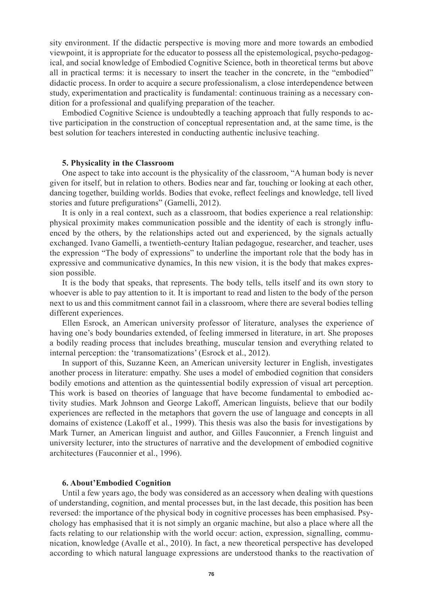sity environment. If the didactic perspective is moving more and more towards an embodied viewpoint, it is appropriate for the educator to possess all the epistemological, psycho-pedagogical, and social knowledge of Embodied Cognitive Science, both in theoretical terms but above all in practical terms: it is necessary to insert the teacher in the concrete, in the "embodied" didactic process. In order to acquire a secure professionalism, a close interdependence between study, experimentation and practicality is fundamental: continuous training as a necessary condition for a professional and qualifying preparation of the teacher.

Embodied Cognitive Science is undoubtedly a teaching approach that fully responds to active participation in the construction of conceptual representation and, at the same time, is the best solution for teachers interested in conducting authentic inclusive teaching.

#### **5. Physicality in the Classroom**

One aspect to take into account is the physicality of the classroom, "A human body is never given for itself, but in relation to others. Bodies near and far, touching or looking at each other, dancing together, building worlds. Bodies that evoke, reflect feelings and knowledge, tell lived stories and future prefigurations" (Gamelli, 2012).

It is only in a real context, such as a classroom, that bodies experience a real relationship: physical proximity makes communication possible and the identity of each is strongly influenced by the others, by the relationships acted out and experienced, by the signals actually exchanged. Ivano Gamelli, a twentieth-century Italian pedagogue, researcher, and teacher, uses the expression "The body of expressions" to underline the important role that the body has in expressive and communicative dynamics, In this new vision, it is the body that makes expression possible.

It is the body that speaks, that represents. The body tells, tells itself and its own story to whoever is able to pay attention to it. It is important to read and listen to the body of the person next to us and this commitment cannot fail in a classroom, where there are several bodies telling different experiences.

Ellen Esrock, an American university professor of literature, analyses the experience of having one's body boundaries extended, of feeling immersed in literature, in art. She proposes a bodily reading process that includes breathing, muscular tension and everything related to internal perception: the 'transomatizations' (Esrock et al., 2012).

In support of this, Suzanne Keen, an American university lecturer in English, investigates another process in literature: empathy. She uses a model of embodied cognition that considers bodily emotions and attention as the quintessential bodily expression of visual art perception. This work is based on theories of language that have become fundamental to embodied activity studies. Mark Johnson and George Lakoff, American linguists, believe that our bodily experiences are reflected in the metaphors that govern the use of language and concepts in all domains of existence (Lakoff et al., 1999). This thesis was also the basis for investigations by Mark Turner, an American linguist and author, and Gilles Fauconnier, a French linguist and university lecturer, into the structures of narrative and the development of embodied cognitive architectures (Fauconnier et al., 1996).

#### **6. About'Embodied Cognition**

Until a few years ago, the body was considered as an accessory when dealing with questions of understanding, cognition, and mental processes but, in the last decade, this position has been reversed: the importance of the physical body in cognitive processes has been emphasised. Psychology has emphasised that it is not simply an organic machine, but also a place where all the facts relating to our relationship with the world occur: action, expression, signalling, communication, knowledge (Avalle et al., 2010). In fact, a new theoretical perspective has developed according to which natural language expressions are understood thanks to the reactivation of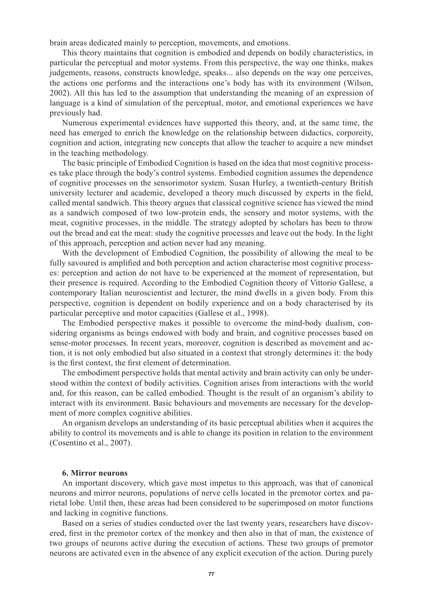brain areas dedicated mainly to perception, movements, and emotions.

This theory maintains that cognition is embodied and depends on bodily characteristics, in particular the perceptual and motor systems. From this perspective, the way one thinks, makes judgements, reasons, constructs knowledge, speaks... also depends on the way one perceives, the actions one performs and the interactions one's body has with its environment (Wilson, 2002). All this has led to the assumption that understanding the meaning of an expression of language is a kind of simulation of the perceptual, motor, and emotional experiences we have previously had.

Numerous experimental evidences have supported this theory, and, at the same time, the need has emerged to enrich the knowledge on the relationship between didactics, corporeity, cognition and action, integrating new concepts that allow the teacher to acquire a new mindset in the teaching methodology.

The basic principle of Embodied Cognition is based on the idea that most cognitive processes take place through the body's control systems. Embodied cognition assumes the dependence of cognitive processes on the sensorimotor system. Susan Hurley, a twentieth-century British university lecturer and academic, developed a theory much discussed by experts in the field, called mental sandwich. This theory argues that classical cognitive science has viewed the mind as a sandwich composed of two low-protein ends, the sensory and motor systems, with the meat, cognitive processes, in the middle. The strategy adopted by scholars has been to throw out the bread and eat the meat: study the cognitive processes and leave out the body. In the light of this approach, perception and action never had any meaning.

With the development of Embodied Cognition, the possibility of allowing the meal to be fully savoured is amplified and both perception and action characterise most cognitive processes: perception and action do not have to be experienced at the moment of representation, but their presence is required. According to the Embodied Cognition theory of Vittorio Gallese, a contemporary Italian neuroscientist and lecturer, the mind dwells in a given body. From this perspective, cognition is dependent on bodily experience and on a body characterised by its particular perceptive and motor capacities (Gallese et al., 1998).

The Embodied perspective makes it possible to overcome the mind-body dualism, considering organisms as beings endowed with body and brain, and cognitive processes based on sense-motor processes. In recent years, moreover, cognition is described as movement and action, it is not only embodied but also situated in a context that strongly determines it: the body is the first context, the first element of determination.

The embodiment perspective holds that mental activity and brain activity can only be understood within the context of bodily activities. Cognition arises from interactions with the world and, for this reason, can be called embodied. Thought is the result of an organism's ability to interact with its environment. Basic behaviours and movements are necessary for the development of more complex cognitive abilities.

An organism develops an understanding of its basic perceptual abilities when it acquires the ability to control its movements and is able to change its position in relation to the environment (Cosentino et al., 2007).

### **6. Mirror neurons**

An important discovery, which gave most impetus to this approach, was that of canonical neurons and mirror neurons, populations of nerve cells located in the premotor cortex and parietal lobe. Until then, these areas had been considered to be superimposed on motor functions and lacking in cognitive functions.

Based on a series of studies conducted over the last twenty years, researchers have discovered, first in the premotor cortex of the monkey and then also in that of man, the existence of two groups of neurons active during the execution of actions. These two groups of premotor neurons are activated even in the absence of any explicit execution of the action. During purely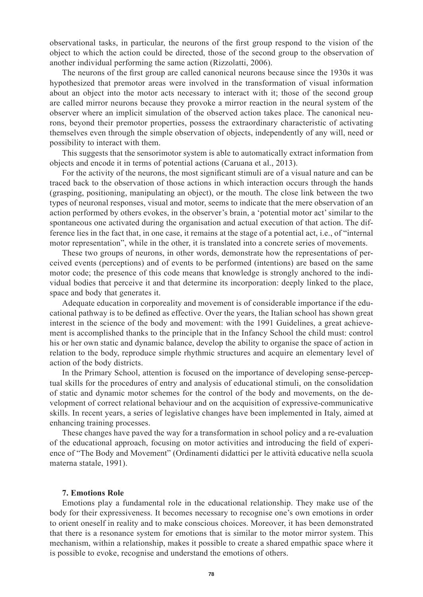observational tasks, in particular, the neurons of the first group respond to the vision of the object to which the action could be directed, those of the second group to the observation of another individual performing the same action (Rizzolatti, 2006).

The neurons of the first group are called canonical neurons because since the 1930s it was hypothesized that premotor areas were involved in the transformation of visual information about an object into the motor acts necessary to interact with it; those of the second group are called mirror neurons because they provoke a mirror reaction in the neural system of the observer where an implicit simulation of the observed action takes place. The canonical neurons, beyond their premotor properties, possess the extraordinary characteristic of activating themselves even through the simple observation of objects, independently of any will, need or possibility to interact with them.

This suggests that the sensorimotor system is able to automatically extract information from objects and encode it in terms of potential actions (Caruana et al., 2013).

For the activity of the neurons, the most significant stimuli are of a visual nature and can be traced back to the observation of those actions in which interaction occurs through the hands (grasping, positioning, manipulating an object), or the mouth. The close link between the two types of neuronal responses, visual and motor, seems to indicate that the mere observation of an action performed by others evokes, in the observer's brain, a 'potential motor act' similar to the spontaneous one activated during the organisation and actual execution of that action. The difference lies in the fact that, in one case, it remains at the stage of a potential act, i.e., of "internal motor representation", while in the other, it is translated into a concrete series of movements.

These two groups of neurons, in other words, demonstrate how the representations of perceived events (perceptions) and of events to be performed (intentions) are based on the same motor code; the presence of this code means that knowledge is strongly anchored to the individual bodies that perceive it and that determine its incorporation: deeply linked to the place, space and body that generates it.

Adequate education in corporeality and movement is of considerable importance if the educational pathway is to be defined as effective. Over the years, the Italian school has shown great interest in the science of the body and movement: with the 1991 Guidelines, a great achievement is accomplished thanks to the principle that in the Infancy School the child must: control his or her own static and dynamic balance, develop the ability to organise the space of action in relation to the body, reproduce simple rhythmic structures and acquire an elementary level of action of the body districts.

In the Primary School, attention is focused on the importance of developing sense-perceptual skills for the procedures of entry and analysis of educational stimuli, on the consolidation of static and dynamic motor schemes for the control of the body and movements, on the development of correct relational behaviour and on the acquisition of expressive-communicative skills. In recent years, a series of legislative changes have been implemented in Italy, aimed at enhancing training processes.

These changes have paved the way for a transformation in school policy and a re-evaluation of the educational approach, focusing on motor activities and introducing the field of experience of "The Body and Movement" (Ordinamenti didattici per le attività educative nella scuola materna statale, 1991).

#### **7. Emotions Role**

Emotions play a fundamental role in the educational relationship. They make use of the body for their expressiveness. It becomes necessary to recognise one's own emotions in order to orient oneself in reality and to make conscious choices. Moreover, it has been demonstrated that there is a resonance system for emotions that is similar to the motor mirror system. This mechanism, within a relationship, makes it possible to create a shared empathic space where it is possible to evoke, recognise and understand the emotions of others.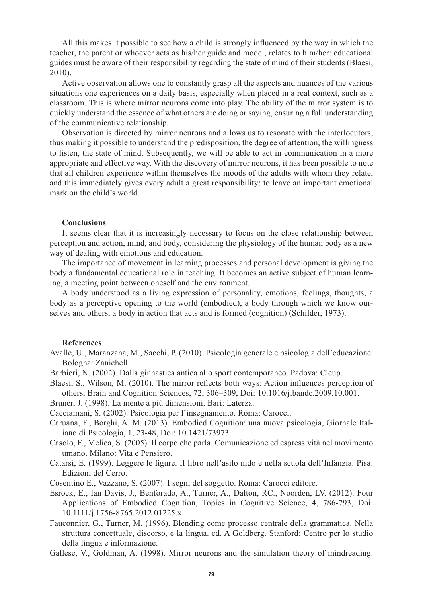All this makes it possible to see how a child is strongly influenced by the way in which the teacher, the parent or whoever acts as his/her guide and model, relates to him/her: educational guides must be aware of their responsibility regarding the state of mind of their students (Blaesi, 2010).

Active observation allows one to constantly grasp all the aspects and nuances of the various situations one experiences on a daily basis, especially when placed in a real context, such as a classroom. This is where mirror neurons come into play. The ability of the mirror system is to quickly understand the essence of what others are doing or saying, ensuring a full understanding of the communicative relationship.

Observation is directed by mirror neurons and allows us to resonate with the interlocutors, thus making it possible to understand the predisposition, the degree of attention, the willingness to listen, the state of mind. Subsequently, we will be able to act in communication in a more appropriate and effective way. With the discovery of mirror neurons, it has been possible to note that all children experience within themselves the moods of the adults with whom they relate, and this immediately gives every adult a great responsibility: to leave an important emotional mark on the child's world.

#### **Conclusions**

It seems clear that it is increasingly necessary to focus on the close relationship between perception and action, mind, and body, considering the physiology of the human body as a new way of dealing with emotions and education.

The importance of movement in learning processes and personal development is giving the body a fundamental educational role in teaching. It becomes an active subject of human learning, a meeting point between oneself and the environment.

A body understood as a living expression of personality, emotions, feelings, thoughts, a body as a perceptive opening to the world (embodied), a body through which we know ourselves and others, a body in action that acts and is formed (cognition) (Schilder, 1973).

## **References**

- Avalle, U., Maranzana, M., Sacchi, P. (2010). Psicologia generale e psicologia dell'educazione. Bologna: Zanichelli.
- Barbieri, N. (2002). Dalla ginnastica antica allo sport contemporaneo. Padova: Cleup.
- Blaesi, S., Wilson, M. (2010). The mirror reflects both ways: Action influences perception of others, Brain and Cognition Sciences, 72, 306–309, Doi: 10.1016/j.bandc.2009.10.001.
- Bruner, J. (1998). La mente a più dimensioni. Bari: Laterza.

Cacciamani, S. (2002). Psicologia per l'insegnamento. Roma: Carocci.

- Caruana, F., Borghi, A. M. (2013). Embodied Cognition: una nuova psicologia, Giornale Italiano di Psicologia, 1, 23-48, Doi: 10.1421/73973.
- Casolo, F., Melica, S. (2005). Il corpo che parla. Comunicazione ed espressività nel movimento umano. Milano: Vita e Pensiero.
- Catarsi, E. (1999). Leggere le figure. Il libro nell'asilo nido e nella scuola dell'Infanzia. Pisa: Edizioni del Cerro.
- Cosentino E., Vazzano, S. (2007). I segni del soggetto. Roma: Carocci editore.
- Esrock, E., Ian Davis, J., Benforado, A., Turner, A., Dalton, RC., Noorden, LV. (2012). Four Applications of Embodied Cognition, Topics in Cognitive Science, 4, 786-793, Doi: 10.1111/j.1756-8765.2012.01225.x.
- Fauconnier, G., Turner, M. (1996). Blending come processo centrale della grammatica. Nella struttura concettuale, discorso, e la lingua. ed. A Goldberg. Stanford: Centro per lo studio della lingua e informazione.
- Gallese, V., Goldman, A. (1998). Mirror neurons and the simulation theory of mindreading.